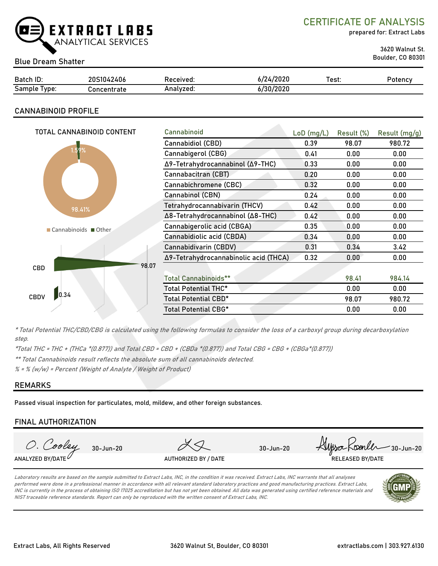

CERTIFICATE OF ANALYSIS

prepared for: Extract Labs

3620 Walnut St.

## Boulder, CO 80301 Blue Dream Shatter

| Batch ID:             | <b>20S1042406</b> | Received. | 6/24/2020 | Test: | 'otency |
|-----------------------|-------------------|-----------|-----------|-------|---------|
| -<br>Sample<br>l vpe: | ัวncentrate       | Analvzed: | 6/30/2020 |       |         |

### CANNABINOID PROFILE

| TOTAL CANNABINOID CONTENT | Cannabinoid                           | $LoD$ (mg/L) | Result (%) | Result (mg/g) |
|---------------------------|---------------------------------------|--------------|------------|---------------|
|                           | Cannabidiol (CBD)                     | 0.39         | 98.07      | 980.72        |
| 1.59%                     | Cannabigerol (CBG)                    | 0.41         | 0.00       | 0.00          |
|                           | Δ9-Tetrahydrocannabinol (Δ9-THC)      | 0.33         | 0.00       | 0.00          |
|                           | Cannabacitran (CBT)                   | 0.20         | 0.00       | 0.00          |
|                           | Cannabichromene (CBC)                 | 0.32         | 0.00       | 0.00          |
|                           | Cannabinol (CBN)                      | 0.24         | 0.00       | 0.00          |
| 98.41%                    | Tetrahydrocannabivarin (THCV)         | 0.42         | 0.00       | 0.00          |
|                           | Δ8-Tetrahydrocannabinol (Δ8-THC)      | 0.42         | 0.00       | 0.00          |
| ■ Cannabinoids ■ Other    | Cannabigerolic acid (CBGA)            | 0.35         | 0.00       | 0.00          |
|                           | Cannabidiolic acid (CBDA)             | 0.34         | 0.00       | 0.00          |
|                           | Cannabidivarin (CBDV)                 | 0.31         | 0.34       | 3.42          |
|                           | Δ9-Tetrahydrocannabinolic acid (THCA) | 0.32         | 0.00       | 0.00          |
| 98.07<br><b>CBD</b>       |                                       |              |            |               |
|                           | <b>Total Cannabinoids**</b>           |              | 98.41      | 984.14        |
|                           | Total Potential THC*                  |              | 0.00       | 0.00          |
| 0.34<br>CBDV              | Total Potential CBD*                  |              | 98.07      | 980.72        |
|                           | Total Potential CBG*                  |              | 0.00       | 0.00          |

\* Total Potential THC/CBD/CBG is calculated using the following formulas to consider the loss of a carboxyl group during decarboxylation step.

\*Total THC = THC + (THCa \*(0.877)) and Total CBD = CBD + (CBDa \*(0.877)) and Total CBG = CBG + (CBGa\*(0.877))

\*\* Total Cannabinoids result reflects the absolute sum of all cannabinoids detected.

 $% =$  % (w/w) = Percent (Weight of Analyte / Weight of Product)

### REMARKS

Passed visual inspection for particulates, mold, mildew, and other foreign substances.

### FINAL AUTHORIZATION



Laboratory results are based on the sample submitted to Extract Labs, INC, in the condition it was received. Extract Labs, INC warrants that all analyses performed were done in a professional manner in accordance with all relevant standard laboratory practices and good manufacturing practices. Extract Labs, INC is currently in the process of obtaining ISO 17025 accreditation but has not yet been obtained. All data was generated using certified reference materials and NIST traceable reference standards. Report can only be reproduced with the written consent of Extract Labs, INC.

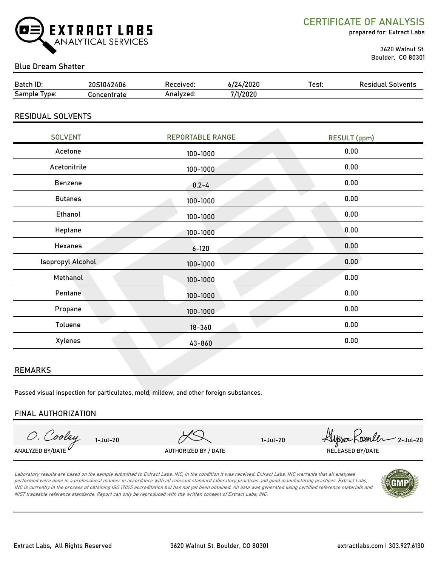

CERTIFICATE OF ANALYSIS

prepared for: Extract Labs

 3620 Walnut St. Boulder, CO 80301

### Blue Dream Shatter

| Batch ID:    | 20S1042406  | Received: | 6/24/2020 | Test: | Residual Solvents |
|--------------|-------------|-----------|-----------|-------|-------------------|
| Sample Type: | Concentrate | Analyzed: | 7/1/2020  |       |                   |
|              |             |           |           |       |                   |

### RESIDUAL SOLVENTS

| <b>SOLVENT</b>           | <b>REPORTABLE RANGE</b> | <b>RESULT</b> (ppm) |  |
|--------------------------|-------------------------|---------------------|--|
| Acetone                  | 100-1000                | 0.00                |  |
| Acetonitrile             | 100-1000                | 0.00                |  |
| Benzene                  | $0.2 - 4$               | 0.00                |  |
| <b>Butanes</b>           | 100-1000                | 0.00                |  |
| <b>Ethanol</b>           | $100 - 1000$            | 0.00                |  |
| Heptane                  | 100-1000                | 0.00                |  |
| Hexanes                  | $6 - 120$               | 0.00                |  |
| <b>Isopropyl Alcohol</b> | 100-1000                | 0.00                |  |
| Methanol                 | $100 - 1000$            | 0.00                |  |
| Pentane                  | 100-1000                | 0.00                |  |
| Propane                  | 100-1000                | 0.00                |  |
| Toluene                  | $18 - 360$              | 0.00                |  |
| Xylenes                  | 43-860                  | 0.00                |  |

### REMARKS

Passed visual inspection for particulates, mold, mildew, and other foreign substances.

### FINAL AUTHORIZATION

O. Cooley ANALYZED BY/DATE  $\overline{V}$  released by/date and the authorized by / date  $\overline{V}$  released by/date

1-Jul-20 1-Jul-20  $\forall$ 9

Laboratory results are based on the sample submitted to Extract Labs, INC, in the condition it was received. Extract Labs, INC warrants that all analyses performed were done in a professional manner in accordance with all relevant standard laboratory practices and good manufacturing practices. Extract Labs, INC is currently in the process of obtaining ISO 17025 accreditation but has not yet been obtained. All data was generated using certified reference materials and NIST traceable reference standards. Report can only be reproduced with the written consent of Extract Labs, INC.